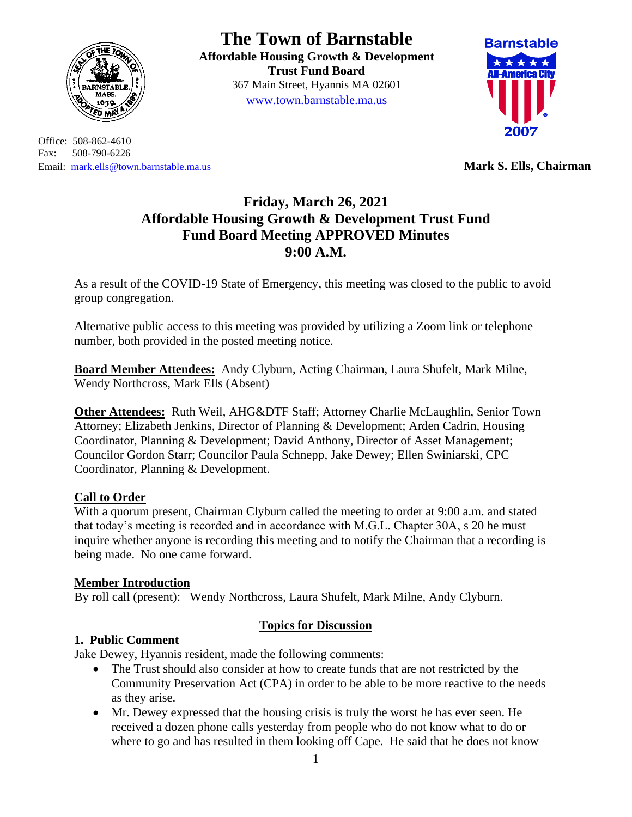

Office: 508-862-4610 Fax: 508-790-6226 Email: [mark.ells@town.barnstable.ma.us](mailto:mark.ells@town.barnstable.ma.us) **Mark S. Ells, Chairman**

# **The Town of Barnstable**

**Affordable Housing Growth & Development Trust Fund Board**  367 Main Street, Hyannis MA 02601 [www.town.barnstable.ma.us](http://www.town.barnstable.ma.us/)



## **Friday, March 26, 2021 Affordable Housing Growth & Development Trust Fund Fund Board Meeting APPROVED Minutes 9:00 A.M.**

As a result of the COVID-19 State of Emergency, this meeting was closed to the public to avoid group congregation.

Alternative public access to this meeting was provided by utilizing a Zoom link or telephone number, both provided in the posted meeting notice.

**Board Member Attendees:** Andy Clyburn, Acting Chairman, Laura Shufelt, Mark Milne, Wendy Northcross, Mark Ells (Absent)

**Other Attendees:** Ruth Weil, AHG&DTF Staff; Attorney Charlie McLaughlin, Senior Town Attorney; Elizabeth Jenkins, Director of Planning & Development; Arden Cadrin, Housing Coordinator, Planning & Development; David Anthony, Director of Asset Management; Councilor Gordon Starr; Councilor Paula Schnepp, Jake Dewey; Ellen Swiniarski, CPC Coordinator, Planning & Development.

#### **Call to Order**

With a quorum present, Chairman Clyburn called the meeting to order at 9:00 a.m. and stated that today's meeting is recorded and in accordance with M.G.L. Chapter 30A, s 20 he must inquire whether anyone is recording this meeting and to notify the Chairman that a recording is being made. No one came forward.

#### **Member Introduction**

By roll call (present): Wendy Northcross, Laura Shufelt, Mark Milne, Andy Clyburn.

#### **Topics for Discussion**

#### **1. Public Comment**

Jake Dewey, Hyannis resident, made the following comments:

- The Trust should also consider at how to create funds that are not restricted by the Community Preservation Act (CPA) in order to be able to be more reactive to the needs as they arise.
- Mr. Dewey expressed that the housing crisis is truly the worst he has ever seen. He received a dozen phone calls yesterday from people who do not know what to do or where to go and has resulted in them looking off Cape. He said that he does not know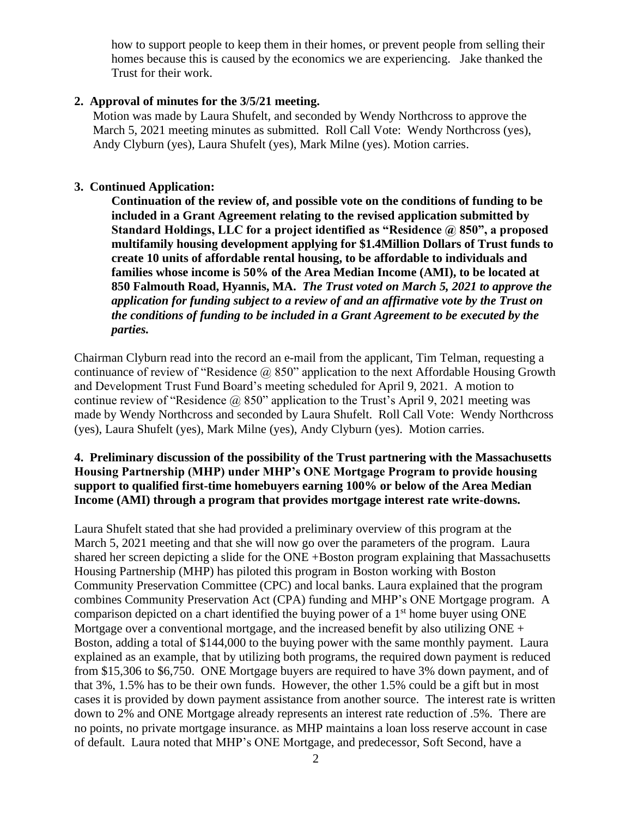how to support people to keep them in their homes, or prevent people from selling their homes because this is caused by the economics we are experiencing. Jake thanked the Trust for their work.

#### **2. Approval of minutes for the 3/5/21 meeting.**

Motion was made by Laura Shufelt, and seconded by Wendy Northcross to approve the March 5, 2021 meeting minutes as submitted. Roll Call Vote: Wendy Northcross (yes), Andy Clyburn (yes), Laura Shufelt (yes), Mark Milne (yes). Motion carries.

#### **3. Continued Application:**

**Continuation of the review of, and possible vote on the conditions of funding to be included in a Grant Agreement relating to the revised application submitted by Standard Holdings, LLC for a project identified as "Residence @ 850", a proposed multifamily housing development applying for \$1.4Million Dollars of Trust funds to create 10 units of affordable rental housing, to be affordable to individuals and families whose income is 50% of the Area Median Income (AMI), to be located at 850 Falmouth Road, Hyannis, MA.** *The Trust voted on March 5, 2021 to approve the application for funding subject to a review of and an affirmative vote by the Trust on the conditions of funding to be included in a Grant Agreement to be executed by the parties.*

Chairman Clyburn read into the record an e-mail from the applicant, Tim Telman, requesting a continuance of review of "Residence @ 850" application to the next Affordable Housing Growth and Development Trust Fund Board's meeting scheduled for April 9, 2021. A motion to continue review of "Residence  $\omega$  850" application to the Trust's April 9, 2021 meeting was made by Wendy Northcross and seconded by Laura Shufelt. Roll Call Vote: Wendy Northcross (yes), Laura Shufelt (yes), Mark Milne (yes), Andy Clyburn (yes). Motion carries.

#### **4. Preliminary discussion of the possibility of the Trust partnering with the Massachusetts Housing Partnership (MHP) under MHP's ONE Mortgage Program to provide housing support to qualified first-time homebuyers earning 100% or below of the Area Median Income (AMI) through a program that provides mortgage interest rate write-downs.**

Laura Shufelt stated that she had provided a preliminary overview of this program at the March 5, 2021 meeting and that she will now go over the parameters of the program. Laura shared her screen depicting a slide for the ONE +Boston program explaining that Massachusetts Housing Partnership (MHP) has piloted this program in Boston working with Boston Community Preservation Committee (CPC) and local banks. Laura explained that the program combines Community Preservation Act (CPA) funding and MHP's ONE Mortgage program. A comparison depicted on a chart identified the buying power of a  $1<sup>st</sup>$  home buyer using ONE Mortgage over a conventional mortgage, and the increased benefit by also utilizing  $ONE +$ Boston, adding a total of \$144,000 to the buying power with the same monthly payment. Laura explained as an example, that by utilizing both programs, the required down payment is reduced from \$15,306 to \$6,750. ONE Mortgage buyers are required to have 3% down payment, and of that 3%, 1.5% has to be their own funds. However, the other 1.5% could be a gift but in most cases it is provided by down payment assistance from another source. The interest rate is written down to 2% and ONE Mortgage already represents an interest rate reduction of .5%. There are no points, no private mortgage insurance. as MHP maintains a loan loss reserve account in case of default. Laura noted that MHP's ONE Mortgage, and predecessor, Soft Second, have a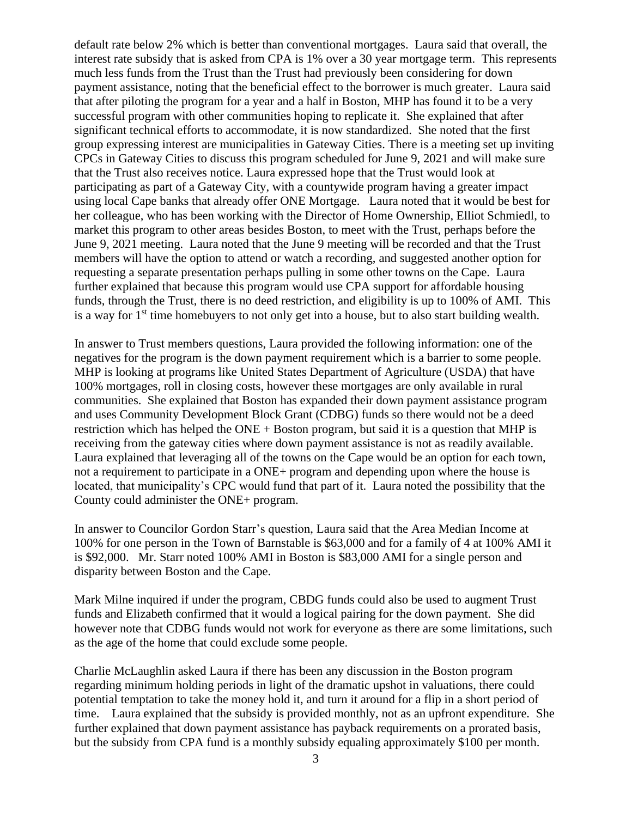default rate below 2% which is better than conventional mortgages. Laura said that overall, the interest rate subsidy that is asked from CPA is 1% over a 30 year mortgage term. This represents much less funds from the Trust than the Trust had previously been considering for down payment assistance, noting that the beneficial effect to the borrower is much greater. Laura said that after piloting the program for a year and a half in Boston, MHP has found it to be a very successful program with other communities hoping to replicate it. She explained that after significant technical efforts to accommodate, it is now standardized. She noted that the first group expressing interest are municipalities in Gateway Cities. There is a meeting set up inviting CPCs in Gateway Cities to discuss this program scheduled for June 9, 2021 and will make sure that the Trust also receives notice. Laura expressed hope that the Trust would look at participating as part of a Gateway City, with a countywide program having a greater impact using local Cape banks that already offer ONE Mortgage. Laura noted that it would be best for her colleague, who has been working with the Director of Home Ownership, Elliot Schmiedl, to market this program to other areas besides Boston, to meet with the Trust, perhaps before the June 9, 2021 meeting. Laura noted that the June 9 meeting will be recorded and that the Trust members will have the option to attend or watch a recording, and suggested another option for requesting a separate presentation perhaps pulling in some other towns on the Cape. Laura further explained that because this program would use CPA support for affordable housing funds, through the Trust, there is no deed restriction, and eligibility is up to 100% of AMI. This is a way for  $1<sup>st</sup>$  time homebuyers to not only get into a house, but to also start building wealth.

In answer to Trust members questions, Laura provided the following information: one of the negatives for the program is the down payment requirement which is a barrier to some people. MHP is looking at programs like United States Department of Agriculture (USDA) that have 100% mortgages, roll in closing costs, however these mortgages are only available in rural communities. She explained that Boston has expanded their down payment assistance program and uses Community Development Block Grant (CDBG) funds so there would not be a deed restriction which has helped the ONE + Boston program, but said it is a question that MHP is receiving from the gateway cities where down payment assistance is not as readily available. Laura explained that leveraging all of the towns on the Cape would be an option for each town, not a requirement to participate in a ONE+ program and depending upon where the house is located, that municipality's CPC would fund that part of it. Laura noted the possibility that the County could administer the ONE+ program.

In answer to Councilor Gordon Starr's question, Laura said that the Area Median Income at 100% for one person in the Town of Barnstable is \$63,000 and for a family of 4 at 100% AMI it is \$92,000. Mr. Starr noted 100% AMI in Boston is \$83,000 AMI for a single person and disparity between Boston and the Cape.

Mark Milne inquired if under the program, CBDG funds could also be used to augment Trust funds and Elizabeth confirmed that it would a logical pairing for the down payment. She did however note that CDBG funds would not work for everyone as there are some limitations, such as the age of the home that could exclude some people.

Charlie McLaughlin asked Laura if there has been any discussion in the Boston program regarding minimum holding periods in light of the dramatic upshot in valuations, there could potential temptation to take the money hold it, and turn it around for a flip in a short period of time. Laura explained that the subsidy is provided monthly, not as an upfront expenditure. She further explained that down payment assistance has payback requirements on a prorated basis, but the subsidy from CPA fund is a monthly subsidy equaling approximately \$100 per month.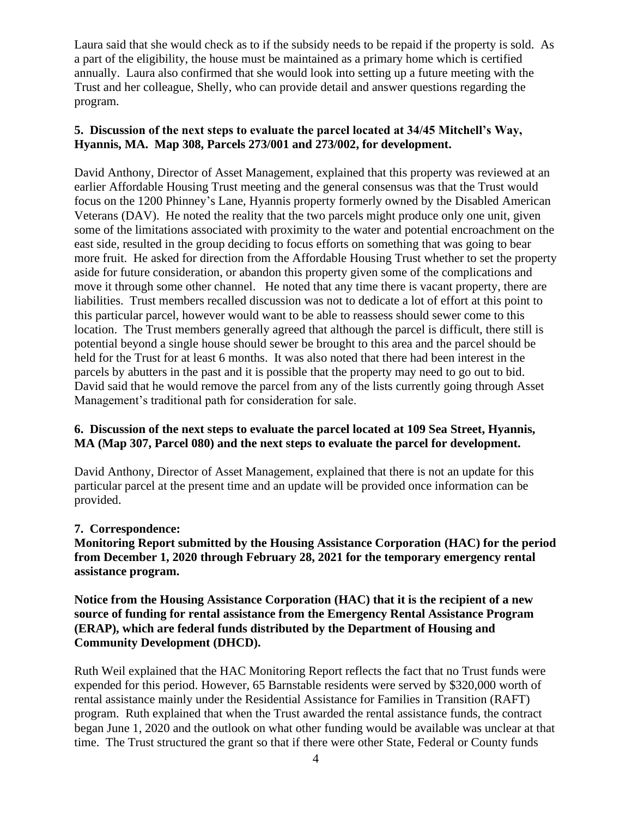Laura said that she would check as to if the subsidy needs to be repaid if the property is sold. As a part of the eligibility, the house must be maintained as a primary home which is certified annually. Laura also confirmed that she would look into setting up a future meeting with the Trust and her colleague, Shelly, who can provide detail and answer questions regarding the program.

#### **5. Discussion of the next steps to evaluate the parcel located at 34/45 Mitchell's Way, Hyannis, MA. Map 308, Parcels 273/001 and 273/002, for development.**

David Anthony, Director of Asset Management, explained that this property was reviewed at an earlier Affordable Housing Trust meeting and the general consensus was that the Trust would focus on the 1200 Phinney's Lane, Hyannis property formerly owned by the Disabled American Veterans (DAV). He noted the reality that the two parcels might produce only one unit, given some of the limitations associated with proximity to the water and potential encroachment on the east side, resulted in the group deciding to focus efforts on something that was going to bear more fruit. He asked for direction from the Affordable Housing Trust whether to set the property aside for future consideration, or abandon this property given some of the complications and move it through some other channel. He noted that any time there is vacant property, there are liabilities. Trust members recalled discussion was not to dedicate a lot of effort at this point to this particular parcel, however would want to be able to reassess should sewer come to this location. The Trust members generally agreed that although the parcel is difficult, there still is potential beyond a single house should sewer be brought to this area and the parcel should be held for the Trust for at least 6 months. It was also noted that there had been interest in the parcels by abutters in the past and it is possible that the property may need to go out to bid. David said that he would remove the parcel from any of the lists currently going through Asset Management's traditional path for consideration for sale.

#### **6. Discussion of the next steps to evaluate the parcel located at 109 Sea Street, Hyannis, MA (Map 307, Parcel 080) and the next steps to evaluate the parcel for development.**

David Anthony, Director of Asset Management, explained that there is not an update for this particular parcel at the present time and an update will be provided once information can be provided.

#### **7. Correspondence:**

**Monitoring Report submitted by the Housing Assistance Corporation (HAC) for the period from December 1, 2020 through February 28, 2021 for the temporary emergency rental assistance program.**

**Notice from the Housing Assistance Corporation (HAC) that it is the recipient of a new source of funding for rental assistance from the Emergency Rental Assistance Program (ERAP), which are federal funds distributed by the Department of Housing and Community Development (DHCD).**

Ruth Weil explained that the HAC Monitoring Report reflects the fact that no Trust funds were expended for this period. However, 65 Barnstable residents were served by \$320,000 worth of rental assistance mainly under the Residential Assistance for Families in Transition (RAFT) program. Ruth explained that when the Trust awarded the rental assistance funds, the contract began June 1, 2020 and the outlook on what other funding would be available was unclear at that time. The Trust structured the grant so that if there were other State, Federal or County funds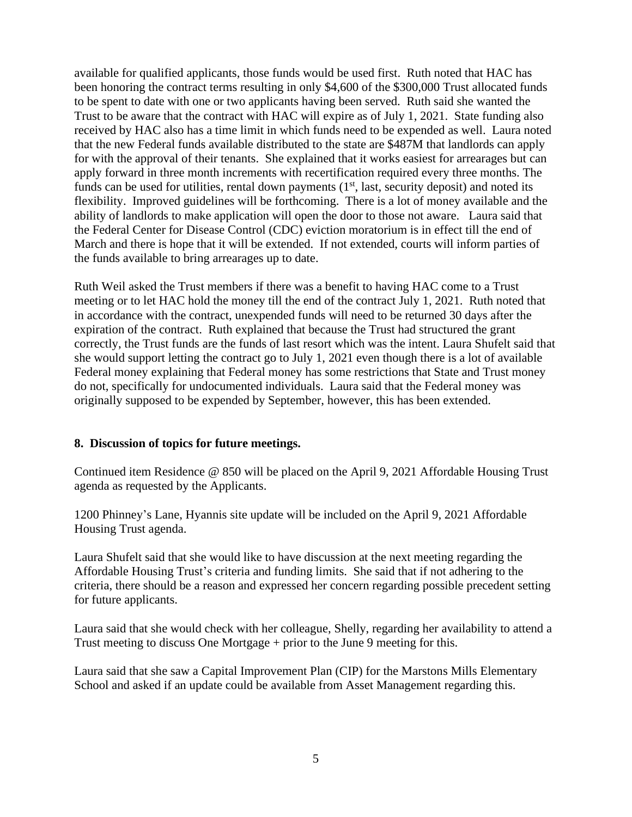available for qualified applicants, those funds would be used first. Ruth noted that HAC has been honoring the contract terms resulting in only \$4,600 of the \$300,000 Trust allocated funds to be spent to date with one or two applicants having been served. Ruth said she wanted the Trust to be aware that the contract with HAC will expire as of July 1, 2021. State funding also received by HAC also has a time limit in which funds need to be expended as well. Laura noted that the new Federal funds available distributed to the state are \$487M that landlords can apply for with the approval of their tenants. She explained that it works easiest for arrearages but can apply forward in three month increments with recertification required every three months. The funds can be used for utilities, rental down payments (1<sup>st</sup>, last, security deposit) and noted its flexibility. Improved guidelines will be forthcoming. There is a lot of money available and the ability of landlords to make application will open the door to those not aware. Laura said that the Federal Center for Disease Control (CDC) eviction moratorium is in effect till the end of March and there is hope that it will be extended. If not extended, courts will inform parties of the funds available to bring arrearages up to date.

Ruth Weil asked the Trust members if there was a benefit to having HAC come to a Trust meeting or to let HAC hold the money till the end of the contract July 1, 2021. Ruth noted that in accordance with the contract, unexpended funds will need to be returned 30 days after the expiration of the contract. Ruth explained that because the Trust had structured the grant correctly, the Trust funds are the funds of last resort which was the intent. Laura Shufelt said that she would support letting the contract go to July 1, 2021 even though there is a lot of available Federal money explaining that Federal money has some restrictions that State and Trust money do not, specifically for undocumented individuals. Laura said that the Federal money was originally supposed to be expended by September, however, this has been extended.

#### **8. Discussion of topics for future meetings.**

Continued item Residence @ 850 will be placed on the April 9, 2021 Affordable Housing Trust agenda as requested by the Applicants.

1200 Phinney's Lane, Hyannis site update will be included on the April 9, 2021 Affordable Housing Trust agenda.

Laura Shufelt said that she would like to have discussion at the next meeting regarding the Affordable Housing Trust's criteria and funding limits. She said that if not adhering to the criteria, there should be a reason and expressed her concern regarding possible precedent setting for future applicants.

Laura said that she would check with her colleague, Shelly, regarding her availability to attend a Trust meeting to discuss One Mortgage + prior to the June 9 meeting for this.

Laura said that she saw a Capital Improvement Plan (CIP) for the Marstons Mills Elementary School and asked if an update could be available from Asset Management regarding this.